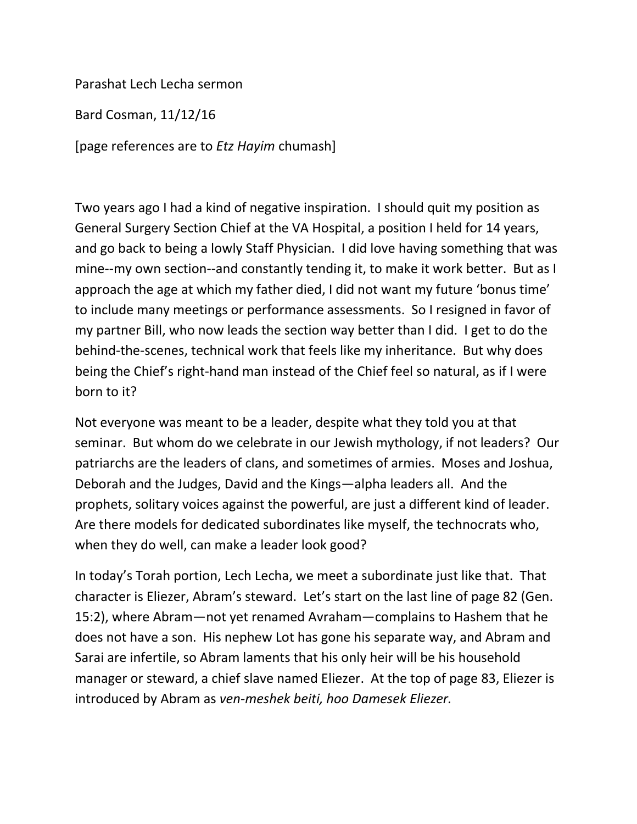Parashat Lech Lecha sermon

Bard Cosman, 11/12/16

[page references are to *Etz Hayim* chumash]

Two years ago I had a kind of negative inspiration. I should quit my position as General Surgery Section Chief at the VA Hospital, a position I held for 14 years, and go back to being a lowly Staff Physician. I did love having something that was mine--my own section--and constantly tending it, to make it work better. But as I approach the age at which my father died, I did not want my future 'bonus time' to include many meetings or performance assessments. So I resigned in favor of my partner Bill, who now leads the section way better than I did. I get to do the behind-the-scenes, technical work that feels like my inheritance. But why does being the Chief's right-hand man instead of the Chief feel so natural, as if I were born to it?

Not everyone was meant to be a leader, despite what they told you at that seminar. But whom do we celebrate in our Jewish mythology, if not leaders? Our patriarchs are the leaders of clans, and sometimes of armies. Moses and Joshua, Deborah and the Judges, David and the Kings—alpha leaders all. And the prophets, solitary voices against the powerful, are just a different kind of leader. Are there models for dedicated subordinates like myself, the technocrats who, when they do well, can make a leader look good?

In today's Torah portion, Lech Lecha, we meet a subordinate just like that. That character is Eliezer, Abram's steward. Let's start on the last line of page 82 (Gen. 15:2), where Abram—not yet renamed Avraham—complains to Hashem that he does not have a son. His nephew Lot has gone his separate way, and Abram and Sarai are infertile, so Abram laments that his only heir will be his household manager or steward, a chief slave named Eliezer. At the top of page 83, Eliezer is introduced by Abram as *ven-meshek beiti, hoo Damesek Eliezer.*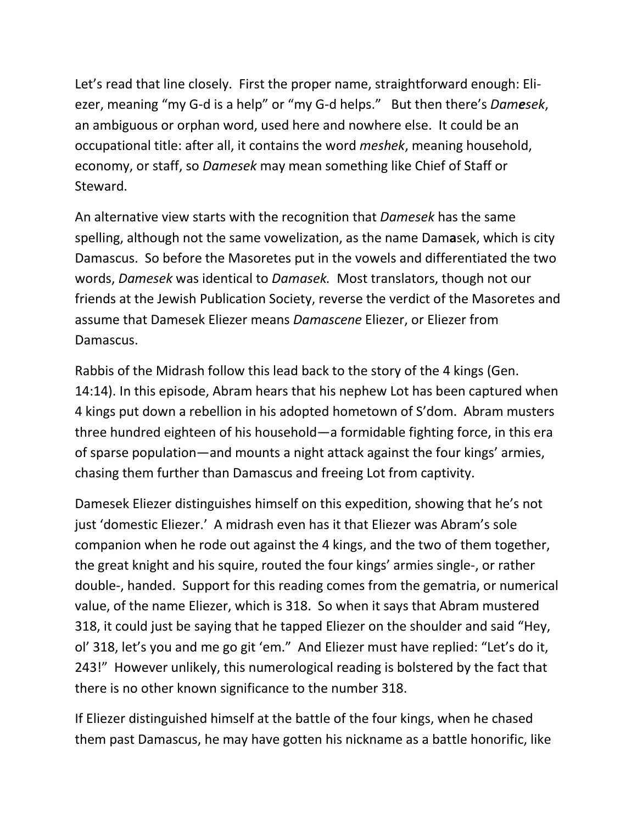Let's read that line closely. First the proper name, straightforward enough: Eliezer, meaning "my G-d is a help" or "my G-d helps." But then there's *Damesek*, an ambiguous or orphan word, used here and nowhere else. It could be an occupational title: after all, it contains the word *meshek*, meaning household, economy, or staff, so *Damesek* may mean something like Chief of Staff or Steward.

An alternative view starts with the recognition that *Damesek* has the same spelling, although not the same vowelization, as the name Dam**a**sek, which is city Damascus. So before the Masoretes put in the vowels and differentiated the two words, *Damesek* was identical to *Damasek.* Most translators, though not our friends at the Jewish Publication Society, reverse the verdict of the Masoretes and assume that Damesek Eliezer means *Damascene* Eliezer, or Eliezer from Damascus.

Rabbis of the Midrash follow this lead back to the story of the 4 kings (Gen. 14:14). In this episode, Abram hears that his nephew Lot has been captured when 4 kings put down a rebellion in his adopted hometown of S'dom. Abram musters three hundred eighteen of his household—a formidable fighting force, in this era of sparse population—and mounts a night attack against the four kings' armies, chasing them further than Damascus and freeing Lot from captivity.

Damesek Eliezer distinguishes himself on this expedition, showing that he's not just 'domestic Eliezer.' A midrash even has it that Eliezer was Abram's sole companion when he rode out against the 4 kings, and the two of them together, the great knight and his squire, routed the four kings' armies single-, or rather double-, handed. Support for this reading comes from the gematria, or numerical value, of the name Eliezer, which is 318. So when it says that Abram mustered 318, it could just be saying that he tapped Eliezer on the shoulder and said "Hey, ol' 318, let's you and me go git 'em." And Eliezer must have replied: "Let's do it, 243!" However unlikely, this numerological reading is bolstered by the fact that there is no other known significance to the number 318.

If Eliezer distinguished himself at the battle of the four kings, when he chased them past Damascus, he may have gotten his nickname as a battle honorific, like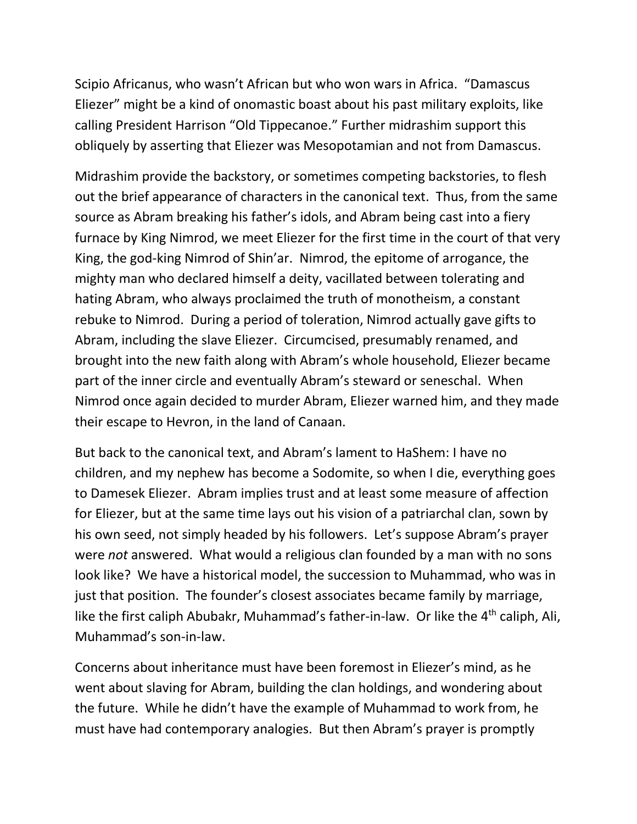Scipio Africanus, who wasn't African but who won wars in Africa. "Damascus Eliezer" might be a kind of onomastic boast about his past military exploits, like calling President Harrison "Old Tippecanoe." Further midrashim support this obliquely by asserting that Eliezer was Mesopotamian and not from Damascus.

Midrashim provide the backstory, or sometimes competing backstories, to flesh out the brief appearance of characters in the canonical text. Thus, from the same source as Abram breaking his father's idols, and Abram being cast into a fiery furnace by King Nimrod, we meet Eliezer for the first time in the court of that very King, the god-king Nimrod of Shin'ar. Nimrod, the epitome of arrogance, the mighty man who declared himself a deity, vacillated between tolerating and hating Abram, who always proclaimed the truth of monotheism, a constant rebuke to Nimrod. During a period of toleration, Nimrod actually gave gifts to Abram, including the slave Eliezer. Circumcised, presumably renamed, and brought into the new faith along with Abram's whole household, Eliezer became part of the inner circle and eventually Abram's steward or seneschal. When Nimrod once again decided to murder Abram, Eliezer warned him, and they made their escape to Hevron, in the land of Canaan.

But back to the canonical text, and Abram's lament to HaShem: I have no children, and my nephew has become a Sodomite, so when I die, everything goes to Damesek Eliezer. Abram implies trust and at least some measure of affection for Eliezer, but at the same time lays out his vision of a patriarchal clan, sown by his own seed, not simply headed by his followers. Let's suppose Abram's prayer were *not* answered. What would a religious clan founded by a man with no sons look like? We have a historical model, the succession to Muhammad, who was in just that position. The founder's closest associates became family by marriage, like the first caliph Abubakr, Muhammad's father-in-law. Or like the 4<sup>th</sup> caliph, Ali, Muhammad's son-in-law.

Concerns about inheritance must have been foremost in Eliezer's mind, as he went about slaving for Abram, building the clan holdings, and wondering about the future. While he didn't have the example of Muhammad to work from, he must have had contemporary analogies. But then Abram's prayer is promptly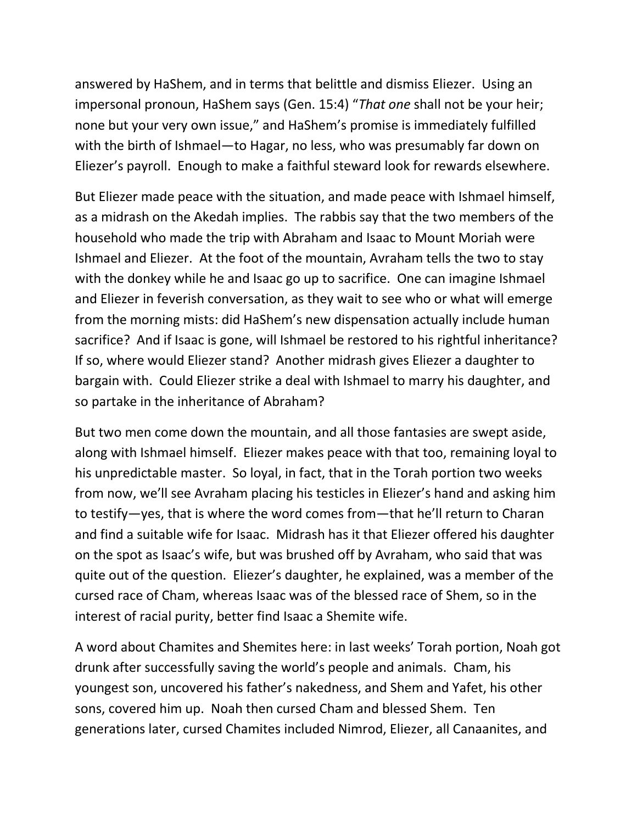answered by HaShem, and in terms that belittle and dismiss Eliezer. Using an impersonal pronoun, HaShem says (Gen. 15:4) "*That one* shall not be your heir; none but your very own issue," and HaShem's promise is immediately fulfilled with the birth of Ishmael—to Hagar, no less, who was presumably far down on Eliezer's payroll. Enough to make a faithful steward look for rewards elsewhere.

But Eliezer made peace with the situation, and made peace with Ishmael himself, as a midrash on the Akedah implies. The rabbis say that the two members of the household who made the trip with Abraham and Isaac to Mount Moriah were Ishmael and Eliezer. At the foot of the mountain, Avraham tells the two to stay with the donkey while he and Isaac go up to sacrifice. One can imagine Ishmael and Eliezer in feverish conversation, as they wait to see who or what will emerge from the morning mists: did HaShem's new dispensation actually include human sacrifice? And if Isaac is gone, will Ishmael be restored to his rightful inheritance? If so, where would Eliezer stand? Another midrash gives Eliezer a daughter to bargain with. Could Eliezer strike a deal with Ishmael to marry his daughter, and so partake in the inheritance of Abraham?

But two men come down the mountain, and all those fantasies are swept aside, along with Ishmael himself. Eliezer makes peace with that too, remaining loyal to his unpredictable master. So loyal, in fact, that in the Torah portion two weeks from now, we'll see Avraham placing his testicles in Eliezer's hand and asking him to testify—yes, that is where the word comes from—that he'll return to Charan and find a suitable wife for Isaac. Midrash has it that Eliezer offered his daughter on the spot as Isaac's wife, but was brushed off by Avraham, who said that was quite out of the question. Eliezer's daughter, he explained, was a member of the cursed race of Cham, whereas Isaac was of the blessed race of Shem, so in the interest of racial purity, better find Isaac a Shemite wife.

A word about Chamites and Shemites here: in last weeks' Torah portion, Noah got drunk after successfully saving the world's people and animals. Cham, his youngest son, uncovered his father's nakedness, and Shem and Yafet, his other sons, covered him up. Noah then cursed Cham and blessed Shem. Ten generations later, cursed Chamites included Nimrod, Eliezer, all Canaanites, and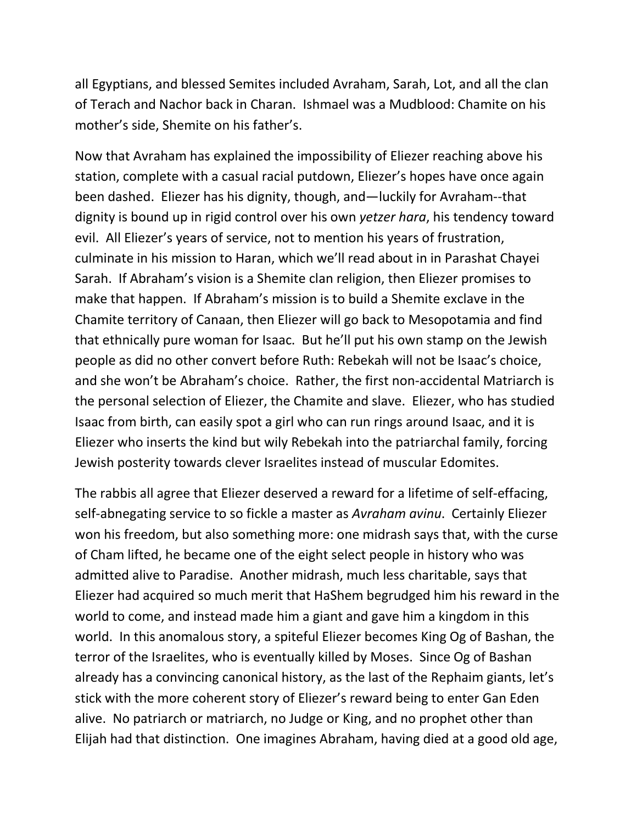all Egyptians, and blessed Semites included Avraham, Sarah, Lot, and all the clan of Terach and Nachor back in Charan. Ishmael was a Mudblood: Chamite on his mother's side, Shemite on his father's.

Now that Avraham has explained the impossibility of Eliezer reaching above his station, complete with a casual racial putdown, Eliezer's hopes have once again been dashed. Eliezer has his dignity, though, and—luckily for Avraham--that dignity is bound up in rigid control over his own *yetzer hara*, his tendency toward evil. All Eliezer's years of service, not to mention his years of frustration, culminate in his mission to Haran, which we'll read about in in Parashat Chayei Sarah. If Abraham's vision is a Shemite clan religion, then Eliezer promises to make that happen. If Abraham's mission is to build a Shemite exclave in the Chamite territory of Canaan, then Eliezer will go back to Mesopotamia and find that ethnically pure woman for Isaac. But he'll put his own stamp on the Jewish people as did no other convert before Ruth: Rebekah will not be Isaac's choice, and she won't be Abraham's choice. Rather, the first non-accidental Matriarch is the personal selection of Eliezer, the Chamite and slave. Eliezer, who has studied Isaac from birth, can easily spot a girl who can run rings around Isaac, and it is Eliezer who inserts the kind but wily Rebekah into the patriarchal family, forcing Jewish posterity towards clever Israelites instead of muscular Edomites.

The rabbis all agree that Eliezer deserved a reward for a lifetime of self-effacing, self-abnegating service to so fickle a master as *Avraham avinu*. Certainly Eliezer won his freedom, but also something more: one midrash says that, with the curse of Cham lifted, he became one of the eight select people in history who was admitted alive to Paradise. Another midrash, much less charitable, says that Eliezer had acquired so much merit that HaShem begrudged him his reward in the world to come, and instead made him a giant and gave him a kingdom in this world. In this anomalous story, a spiteful Eliezer becomes King Og of Bashan, the terror of the Israelites, who is eventually killed by Moses. Since Og of Bashan already has a convincing canonical history, as the last of the Rephaim giants, let's stick with the more coherent story of Eliezer's reward being to enter Gan Eden alive. No patriarch or matriarch, no Judge or King, and no prophet other than Elijah had that distinction. One imagines Abraham, having died at a good old age,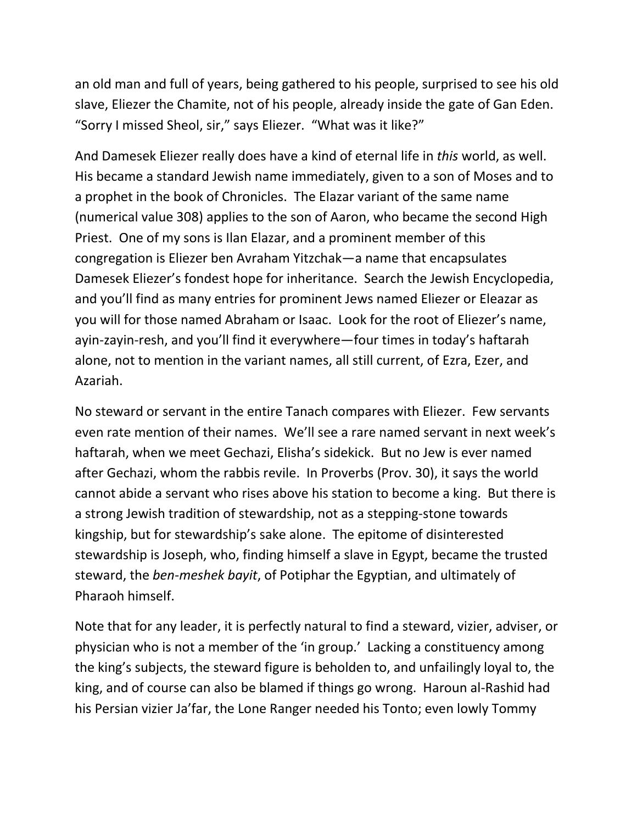an old man and full of years, being gathered to his people, surprised to see his old slave, Eliezer the Chamite, not of his people, already inside the gate of Gan Eden. "Sorry I missed Sheol, sir," says Eliezer. "What was it like?"

And Damesek Eliezer really does have a kind of eternal life in *this* world, as well. His became a standard Jewish name immediately, given to a son of Moses and to a prophet in the book of Chronicles. The Elazar variant of the same name (numerical value 308) applies to the son of Aaron, who became the second High Priest. One of my sons is Ilan Elazar, and a prominent member of this congregation is Eliezer ben Avraham Yitzchak—a name that encapsulates Damesek Eliezer's fondest hope for inheritance. Search the Jewish Encyclopedia, and you'll find as many entries for prominent Jews named Eliezer or Eleazar as you will for those named Abraham or Isaac. Look for the root of Eliezer's name, ayin-zayin-resh, and you'll find it everywhere—four times in today's haftarah alone, not to mention in the variant names, all still current, of Ezra, Ezer, and Azariah.

No steward or servant in the entire Tanach compares with Eliezer. Few servants even rate mention of their names. We'll see a rare named servant in next week's haftarah, when we meet Gechazi, Elisha's sidekick. But no Jew is ever named after Gechazi, whom the rabbis revile. In Proverbs (Prov. 30), it says the world cannot abide a servant who rises above his station to become a king. But there is a strong Jewish tradition of stewardship, not as a stepping-stone towards kingship, but for stewardship's sake alone. The epitome of disinterested stewardship is Joseph, who, finding himself a slave in Egypt, became the trusted steward, the *ben-meshek bayit*, of Potiphar the Egyptian, and ultimately of Pharaoh himself.

Note that for any leader, it is perfectly natural to find a steward, vizier, adviser, or physician who is not a member of the 'in group.' Lacking a constituency among the king's subjects, the steward figure is beholden to, and unfailingly loyal to, the king, and of course can also be blamed if things go wrong. Haroun al-Rashid had his Persian vizier Ja'far, the Lone Ranger needed his Tonto; even lowly Tommy